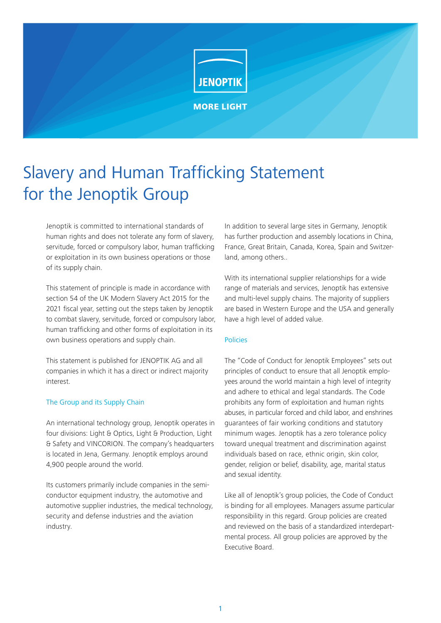

# Slavery and Human Trafficking Statement for the Jenoptik Group

Jenoptik is committed to international standards of human rights and does not tolerate any form of slavery, servitude, forced or compulsory labor, human trafficking or exploitation in its own business operations or those of its supply chain.

This statement of principle is made in accordance with section 54 of the UK Modern Slavery Act 2015 for the 2021 fiscal year, setting out the steps taken by Jenoptik to combat slavery, servitude, forced or compulsory labor, human trafficking and other forms of exploitation in its own business operations and supply chain.

This statement is published for JENOPTIK AG and all companies in which it has a direct or indirect majority interest.

# The Group and its Supply Chain

An international technology group, Jenoptik operates in four divisions: Light & Optics, Light & Production, Light & Safety and VINCORION. The company's headquarters is located in Jena, Germany. Jenoptik employs around 4,900 people around the world.

Its customers primarily include companies in the semiconductor equipment industry, the automotive and automotive supplier industries, the medical technology, security and defense industries and the aviation industry.

In addition to several large sites in Germany, Jenoptik has further production and assembly locations in China, France, Great Britain, Canada, Korea, Spain and Switzerland, among others..

With its international supplier relationships for a wide range of materials and services, Jenoptik has extensive and multi-level supply chains. The majority of suppliers are based in Western Europe and the USA and generally have a high level of added value.

## Policies

The "Code of Conduct for Jenoptik Employees" sets out principles of conduct to ensure that all Jenoptik employees around the world maintain a high level of integrity and adhere to ethical and legal standards. The Code prohibits any form of exploitation and human rights abuses, in particular forced and child labor, and enshrines guarantees of fair working conditions and statutory minimum wages. Jenoptik has a zero tolerance policy toward unequal treatment and discrimination against individuals based on race, ethnic origin, skin color, gender, religion or belief, disability, age, marital status and sexual identity.

Like all of Jenoptik's group policies, the Code of Conduct is binding for all employees. Managers assume particular responsibility in this regard. Group policies are created and reviewed on the basis of a standardized interdepartmental process. All group policies are approved by the Executive Board.